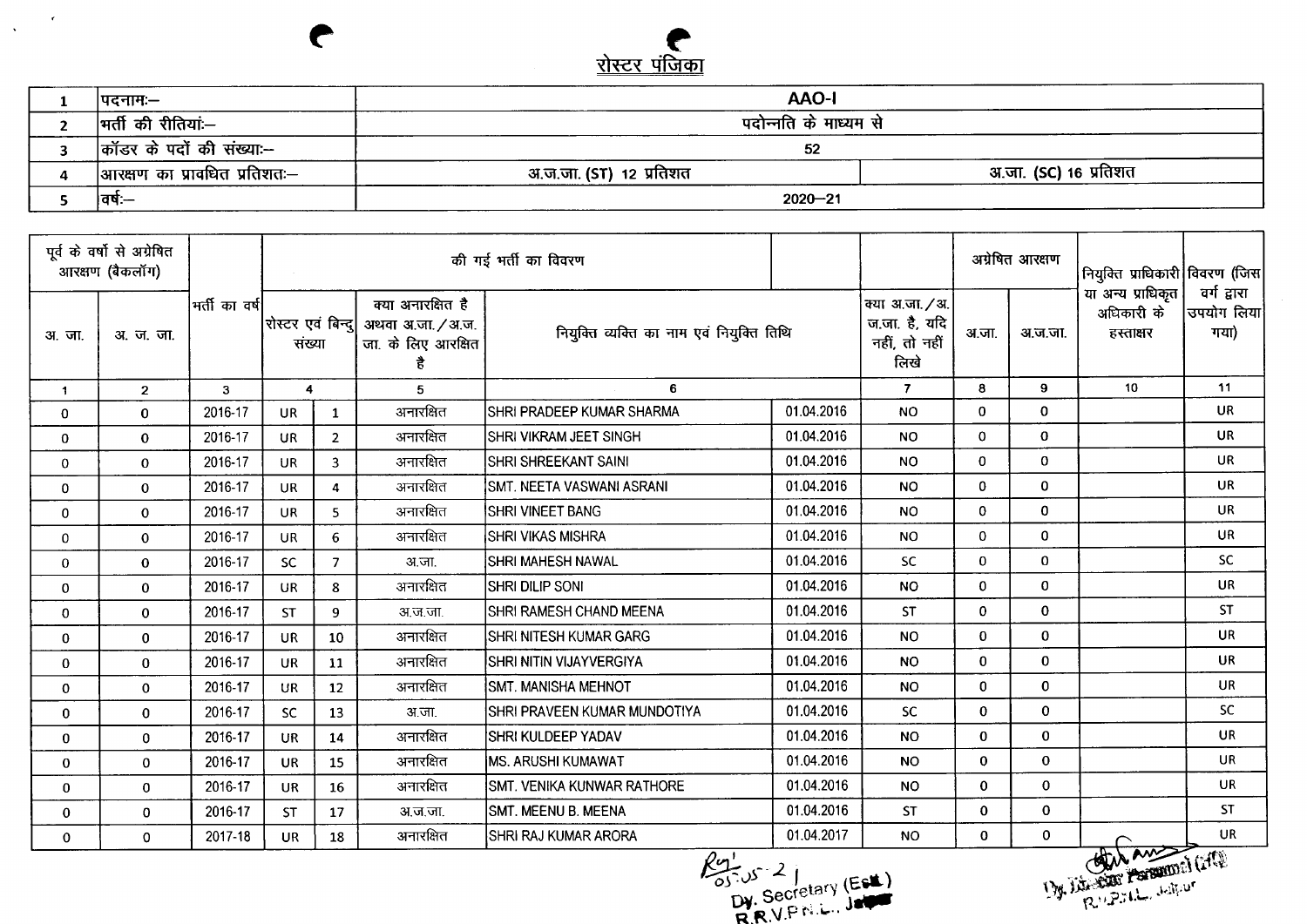<u>रीस्टर पंजिका</u>

 $\frac{1}{\sqrt{2}}\left(\frac{1}{\sqrt{2}}\right)^{2}$ 

 $\bullet$ 

| ।पदनामः—                             | <b>AAO-I</b>            |                       |
|--------------------------------------|-------------------------|-----------------------|
| मर्ती की रीतियां:—                   | पदोन्नति के माध्यम से   |                       |
| कॉडर के पदों की संख्याः–             | 52                      |                       |
| $\vert$ आरक्षण का प्रावधित प्रतिशतः— | अ.ज.जा. (ST) 12 प्रतिशत | अ.जा. (SC) 16 प्रतिशत |
| ।वर्ष:—                              | $2020 - 21$             |                       |

| पूर्व के वर्षो से अग्रेषित<br>आरक्षण (बैकलॉग) |                |               | की गई भर्ती का विवरण         |                |                                                                    |                                           |            | अग्रेषित आरक्षण                                           |              | नियुक्ति प्राधिकारी विवरण (जिस |                                              |                                     |
|-----------------------------------------------|----------------|---------------|------------------------------|----------------|--------------------------------------------------------------------|-------------------------------------------|------------|-----------------------------------------------------------|--------------|--------------------------------|----------------------------------------------|-------------------------------------|
| अ.जा.                                         | अ. ज. जा.      | मर्ती का वर्ष | रोस्टर एवं बिन्दू <br>संख्या |                | क्या अनारक्षित है<br>अथवा अ.जा. / अ.ज.<br>जा. के लिए आरक्षित<br>है | नियुक्ति व्यक्ति का नाम एवं नियुक्ति तिथि |            | क्या अ.जा. / अ.<br>ज.जा. है, यदि<br>नहीं, तो नहीं<br>लिखे | अ.जा.        | अ.ज.जा.                        | या अन्य प्राधिकृत<br>अधिकारी के<br>हस्ताक्षर | वर्ग द्वारा<br> उपयोग लिया <br>गया) |
| $\mathbf{1}$                                  | 2 <sup>1</sup> | $\mathbf{3}$  | $\overline{\mathbf{4}}$      |                | 5                                                                  | 6                                         |            | $\overline{7}$                                            | 8            | 9                              | 10                                           | 11                                  |
| $\bf{0}$                                      | $\mathbf{0}$   | 2016-17       | <b>UR</b>                    | $\mathbf{1}$   | अनारक्षित                                                          | <b>SHRI PRADEEP KUMAR SHARMA</b>          | 01.04.2016 | <b>NO</b>                                                 | $\Omega$     | $\mathbf 0$                    |                                              | <b>UR</b>                           |
| 0                                             | $\mathbf{0}$   | 2016-17       | <b>UR</b>                    | $\overline{2}$ | अनारक्षित                                                          | ISHRI VIKRAM JEET SINGH                   | 01.04.2016 | <b>NO</b>                                                 | $\Omega$     | $\mathbf{0}$                   |                                              | <b>UR</b>                           |
| 0                                             | $\mathbf{0}$   | 2016-17       | UR                           | $\overline{3}$ | अनारक्षित                                                          | ISHRI SHREEKANT SAINI                     | 01.04.2016 | <b>NO</b>                                                 | $\Omega$     | $\mathbf{0}$                   |                                              | <b>UR</b>                           |
| $\mathbf 0$                                   | $\overline{0}$ | 2016-17       | <b>UR</b>                    | 4              | अनारक्षित                                                          | İSMT. NEETA VASWANI ASRANI                | 01.04.2016 | <b>NO</b>                                                 | $\bf{0}$     | $\mathbf 0$                    |                                              | <b>UR</b>                           |
| $\mathbf{0}$                                  | $\overline{0}$ | 2016-17       | UR                           | 5.             | अनारक्षित                                                          | <b>SHRI VINEET BANG</b>                   | 01.04.2016 | <b>NO</b>                                                 | $\bf{0}$     | $\mathbf{0}$                   |                                              | <b>UR</b>                           |
| $\Omega$                                      | $\overline{0}$ | 2016-17       | <b>UR</b>                    | 6              | अनारक्षित                                                          | İSHRI VIKAS MISHRA                        | 01.04.2016 | <b>NO</b>                                                 | $\Omega$     | $\mathbf{0}$                   |                                              | <b>UR</b>                           |
| $\overline{0}$                                | $\mathbf{0}$   | 2016-17       | <b>SC</b>                    | $\overline{7}$ | अ.जा.                                                              | SHRI MAHESH NAWAL                         | 01.04.2016 | SC.                                                       | $\Omega$     | $\Omega$                       |                                              | <b>SC</b>                           |
| 0                                             | $\mathbf{0}$   | 2016-17       | <b>UR</b>                    | 8              | अनारक्षित                                                          | <b>SHRI DILIP SONI</b>                    | 01.04.2016 | <b>NO</b>                                                 | $\Omega$     | $\Omega$                       |                                              | <b>UR</b>                           |
| $\overline{0}$                                | $\mathbf{0}$   | 2016-17       | <b>ST</b>                    | 9              | अ.ज.जा.                                                            | SHRI RAMESH CHAND MEENA                   | 01.04.2016 | <b>ST</b>                                                 | $\Omega$     | $\bf{0}$                       |                                              | <b>ST</b>                           |
| 0                                             | $\mathbf 0$    | 2016-17       | UR                           | 10             | अनारक्षित                                                          | <b>SHRI NITESH KUMAR GARG</b>             | 01.04.2016 | <b>NO</b>                                                 | $\mathbf 0$  | $\bf{0}$                       |                                              | <b>UR</b>                           |
| $\bf{0}$                                      | $\mathbf{0}$   | 2016-17       | <b>UR</b>                    | 11             | अनारक्षित                                                          | SHRI NITIN VIJAYVERGIYA                   | 01.04.2016 | <b>NO</b>                                                 | $\mathbf 0$  | $\mathbf 0$                    |                                              | <b>UR</b>                           |
| 0                                             | $\Omega$       | 2016-17       | <b>UR</b>                    | 12             | अनारक्षित                                                          | <b>SMT. MANISHA MEHNOT</b>                | 01.04.2016 | <b>NO</b>                                                 | $\mathbf 0$  | $\mathbf{0}$                   |                                              | <b>UR</b>                           |
| 0                                             | $\mathbf{0}$   | 2016-17       | <b>SC</b>                    | 13             | अ.जा.                                                              | SHRI PRAVEEN KUMAR MUNDOTIYA              | 01.04.2016 | <b>SC</b>                                                 | $\Omega$     | $\mathbf{0}$                   |                                              | <b>SC</b>                           |
| 0                                             | $\mathbf{0}$   | 2016-17       | <b>UR</b>                    | 14             | अनारक्षित                                                          | <b>SHRI KULDEEP YADAV</b>                 | 01.04.2016 | NO.                                                       | $\mathbf{0}$ | $\mathbf{0}$                   |                                              | <b>UR</b>                           |
| 0                                             | $\mathbf{0}$   | 2016-17       | <b>UR</b>                    | 15             | अनारक्षित                                                          | IMS. ARUSHI KUMAWAT                       | 01.04.2016 | <b>NO</b>                                                 | $\mathbf 0$  | $\mathbf 0$                    |                                              | <b>UR</b>                           |
| 0                                             | $\mathbf{0}$   | 2016-17       | <b>UR</b>                    | 16             | अनारक्षित                                                          | <b>SMT. VENIKA KUNWAR RATHORE</b>         | 01.04.2016 | <b>NO</b>                                                 | $\mathbf{0}$ | $\mathbf 0$                    |                                              | <b>UR</b>                           |
| 0                                             | $\mathbf{0}$   | 2016-17       | <b>ST</b>                    | 17             | अ.ज.जा.                                                            | SMT. MEENU B. MEENA                       | 01.04.2016 | <b>ST</b>                                                 | $\mathbf{0}$ | $\mathbf{0}$                   |                                              | <b>ST</b>                           |
| 0                                             | $\mathbf{0}$   | 2017-18       | <b>UR</b>                    | 18             | अनारक्षित                                                          | SHRI RAJ KUMAR ARORA                      | 01.04.2017 | <b>NO</b>                                                 | $\mathbf{0}$ | $\mathbf 0$                    |                                              | <b>UR</b>                           |

The most interest of the second of the second of the second of the second of the second of the second of the second of the second of the second of the second of the second of the second of the second of the second of the s **2**<br>Dy. Secretary (Est)<br>**BR.**N.P falson